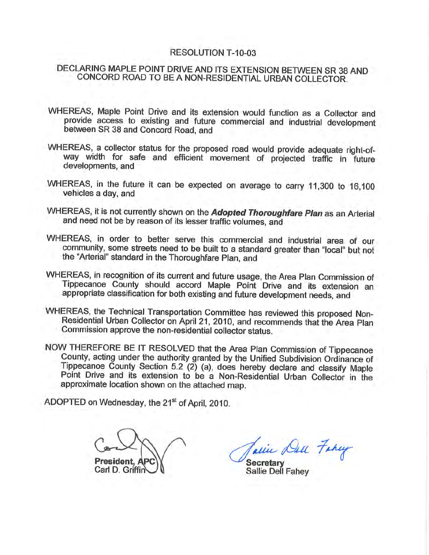#### RESOLUTION T-10-03

# DECLARING MAPLE POINT DRIVE AND ITS EXTENSION BETWEEN SR 38 AND CONCORD ROAD TO BE A NON-RESIDENTIAL URBAN COLLECTOR.

- WHEREAS, Maple Point Drive and its extension would function as a Collector and provide access to existing and future commercial and industrial development between SR 38 and Concord Road, and
- WHEREAS, a collector status for the proposed road would provide adequate right-ofway width for safe and efficient movement of projected traffic in future developments, and
- WHEREAS, in the future it can be expected on average to carry 11,300 to 16,100 vehicles a day, and
- WHEREAS, it is not currently shown on the Adopted Thoroughfare Plan as an Arterial and need not be by reason of its lesser traffic volumes, and
- WHEREAS, in order to better serve this commercial and industrial area of our community, some streets need to be built to a standard greater than "local" but not the "Arterial" standard in the Thoroughfare Plan, and
- WHEREAS, in recognition of its current and future usage, the Area Plan Commission of Tippecanoe County should accord Maple Point Drive and its extension an appropriate classification for both existing and future development needs, and
- WHEREAS, the Technical Transportation Committee has reviewed this proposed Non-Residential Urban Collector on April 21, 2010, and recommends that the Area Plan Commission approve the non-residential collector status.
- NOW THEREFORE BE IT RESOLVED that the Area Plan Commission of Tippecanoe County, acting under the authority granted by the Unified Subdivision Ordinance of Tippecanoe County Section 5.2 (2) (a), does hereby declare and classify Maple Point Drive and its extension to be a Non-Residential Urban Collector in the approximate location shown on the attached map.

ADOPTED on Wednesday, the 21<sup>st</sup> of April, 2010.

President, Al Carl D. Griffir

acin Dec Farry **Secretary** 

Sallie Dell Fahey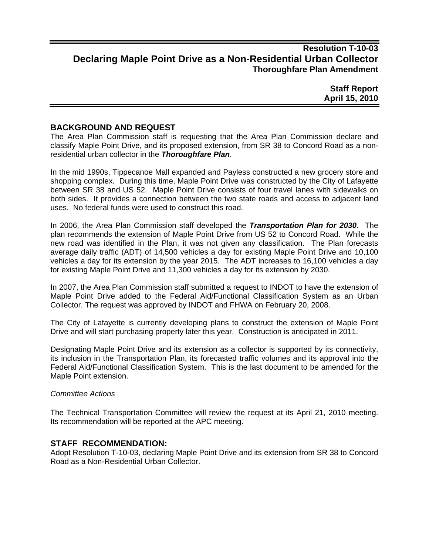# **Resolution T-10-03 Declaring Maple Point Drive as a Non-Residential Urban Collector Thoroughfare Plan Amendment**

**Staff Report April 15, 2010** 

### **BACKGROUND AND REQUEST**

The Area Plan Commission staff is requesting that the Area Plan Commission declare and classify Maple Point Drive, and its proposed extension, from SR 38 to Concord Road as a nonresidential urban collector in the *Thoroughfare Plan*.

In the mid 1990s, Tippecanoe Mall expanded and Payless constructed a new grocery store and shopping complex. During this time, Maple Point Drive was constructed by the City of Lafayette between SR 38 and US 52. Maple Point Drive consists of four travel lanes with sidewalks on both sides. It provides a connection between the two state roads and access to adjacent land uses. No federal funds were used to construct this road.

In 2006, the Area Plan Commission staff developed the *Transportation Plan for 2030*. The plan recommends the extension of Maple Point Drive from US 52 to Concord Road. While the new road was identified in the Plan, it was not given any classification. The Plan forecasts average daily traffic (ADT) of 14,500 vehicles a day for existing Maple Point Drive and 10,100 vehicles a day for its extension by the year 2015. The ADT increases to 16,100 vehicles a day for existing Maple Point Drive and 11,300 vehicles a day for its extension by 2030.

In 2007, the Area Plan Commission staff submitted a request to INDOT to have the extension of Maple Point Drive added to the Federal Aid/Functional Classification System as an Urban Collector. The request was approved by INDOT and FHWA on February 20, 2008.

The City of Lafayette is currently developing plans to construct the extension of Maple Point Drive and will start purchasing property later this year. Construction is anticipated in 2011.

Designating Maple Point Drive and its extension as a collector is supported by its connectivity, its inclusion in the Transportation Plan, its forecasted traffic volumes and its approval into the Federal Aid/Functional Classification System. This is the last document to be amended for the Maple Point extension.

#### *Committee Actions*

The Technical Transportation Committee will review the request at its April 21, 2010 meeting. Its recommendation will be reported at the APC meeting.

### **STAFF RECOMMENDATION:**

Adopt Resolution T-10-03, declaring Maple Point Drive and its extension from SR 38 to Concord Road as a Non-Residential Urban Collector.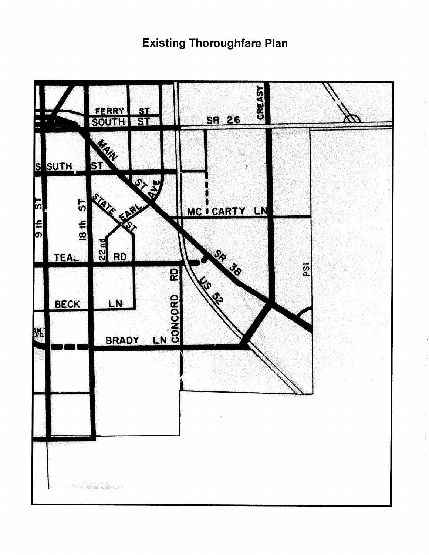